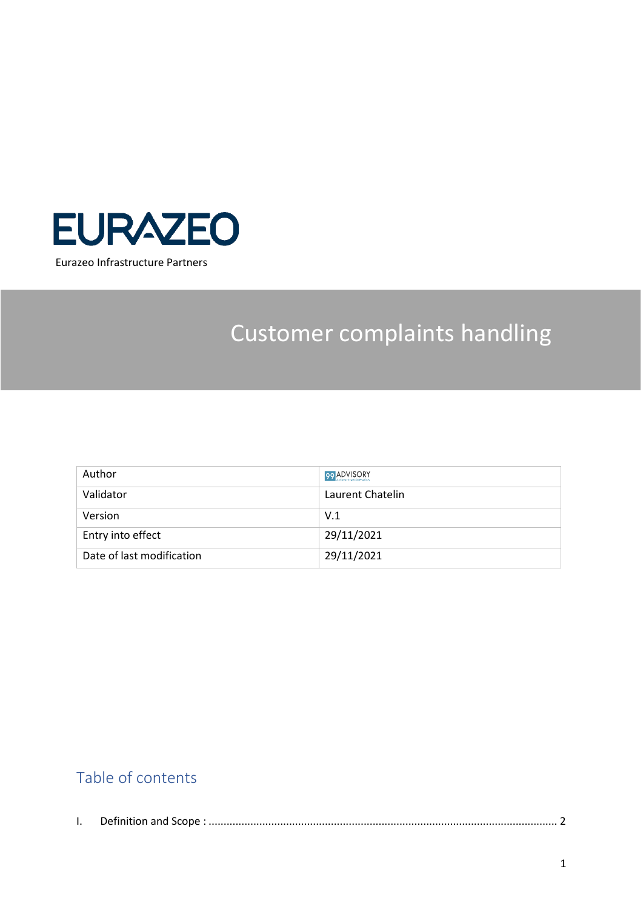

# Customer complaints handling

| Author                    | 99 ADVISORY      |
|---------------------------|------------------|
| Validator                 | Laurent Chatelin |
| Version                   | V.1              |
| Entry into effect         | 29/11/2021       |
| Date of last modification | 29/11/2021       |

### Table of contents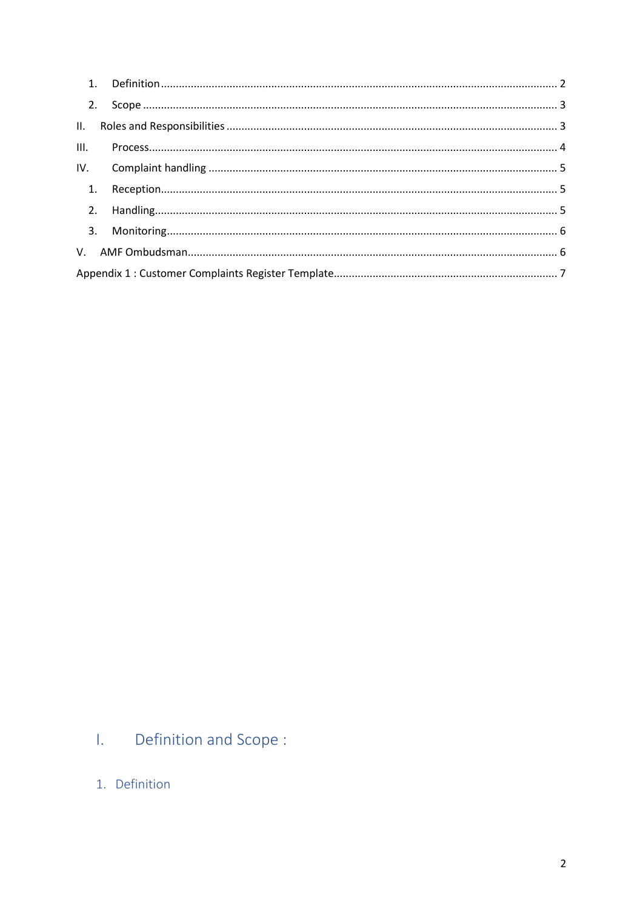| III. |  |  |  |  |
|------|--|--|--|--|
|      |  |  |  |  |
|      |  |  |  |  |
|      |  |  |  |  |
|      |  |  |  |  |
|      |  |  |  |  |
|      |  |  |  |  |

#### <span id="page-1-0"></span> $\overline{\mathbf{L}}$  . Definition and Scope:

<span id="page-1-1"></span>1. Definition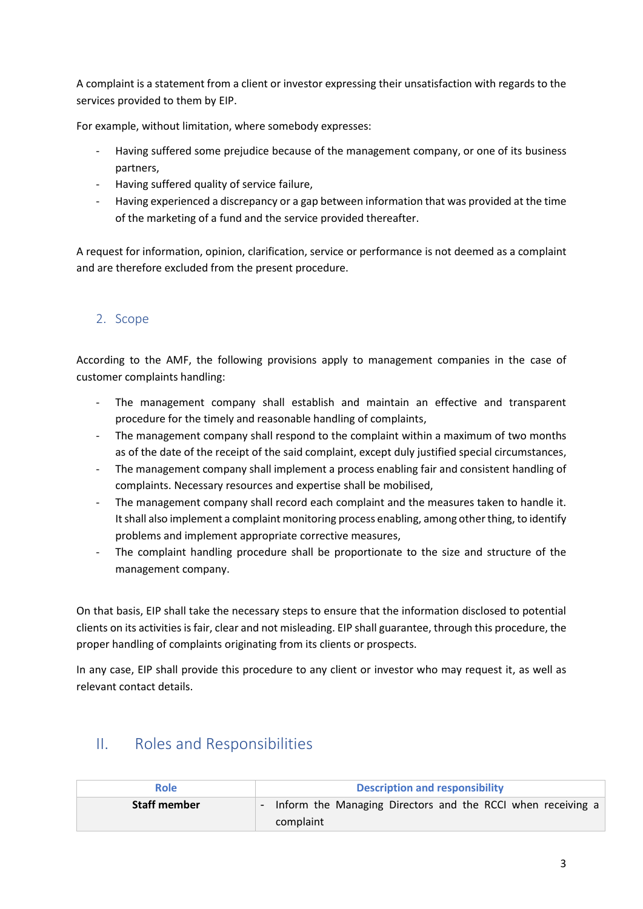A complaint is a statement from a client or investor expressing their unsatisfaction with regards to the services provided to them by EIP.

For example, without limitation, where somebody expresses:

- Having suffered some prejudice because of the management company, or one of its business partners,
- Having suffered quality of service failure,
- Having experienced a discrepancy or a gap between information that was provided at the time of the marketing of a fund and the service provided thereafter.

A request for information, opinion, clarification, service or performance is not deemed as a complaint and are therefore excluded from the present procedure.

#### <span id="page-2-0"></span>2. Scope

According to the AMF, the following provisions apply to management companies in the case of customer complaints handling:

- The management company shall establish and maintain an effective and transparent procedure for the timely and reasonable handling of complaints,
- The management company shall respond to the complaint within a maximum of two months as of the date of the receipt of the said complaint, except duly justified special circumstances,
- The management company shall implement a process enabling fair and consistent handling of complaints. Necessary resources and expertise shall be mobilised,
- The management company shall record each complaint and the measures taken to handle it. It shall also implement a complaint monitoring process enabling, among other thing, to identify problems and implement appropriate corrective measures,
- The complaint handling procedure shall be proportionate to the size and structure of the management company.

On that basis, EIP shall take the necessary steps to ensure that the information disclosed to potential clients on its activities is fair, clear and not misleading. EIP shall guarantee, through this procedure, the proper handling of complaints originating from its clients or prospects.

In any case, EIP shall provide this procedure to any client or investor who may request it, as well as relevant contact details.

| Role                | <b>Description and responsibility</b>                                          |  |  |  |  |  |  |
|---------------------|--------------------------------------------------------------------------------|--|--|--|--|--|--|
| <b>Staff member</b> | Inform the Managing Directors and the RCCI when receiving a<br>н.<br>complaint |  |  |  |  |  |  |

### <span id="page-2-1"></span>II. Roles and Responsibilities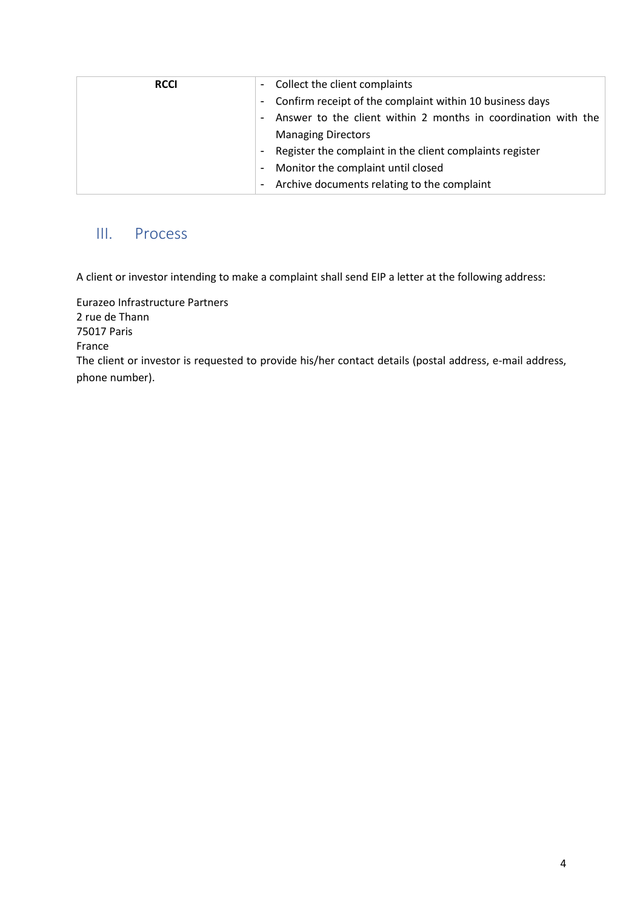| <b>RCCI</b> | Collect the client complaints<br>$\blacksquare$                                           |
|-------------|-------------------------------------------------------------------------------------------|
|             | Confirm receipt of the complaint within 10 business days<br>$\overline{\phantom{a}}$      |
|             | Answer to the client within 2 months in coordination with the<br>$\overline{\phantom{a}}$ |
|             | <b>Managing Directors</b>                                                                 |
|             | Register the complaint in the client complaints register<br>$\overline{\phantom{a}}$      |
|             | Monitor the complaint until closed<br>$\overline{\phantom{a}}$                            |
|             | Archive documents relating to the complaint                                               |

### <span id="page-3-0"></span>III. Process

A client or investor intending to make a complaint shall send EIP a letter at the following address:

Eurazeo Infrastructure Partners 2 rue de Thann 75017 Paris France The client or investor is requested to provide his/her contact details (postal address, e-mail address, phone number).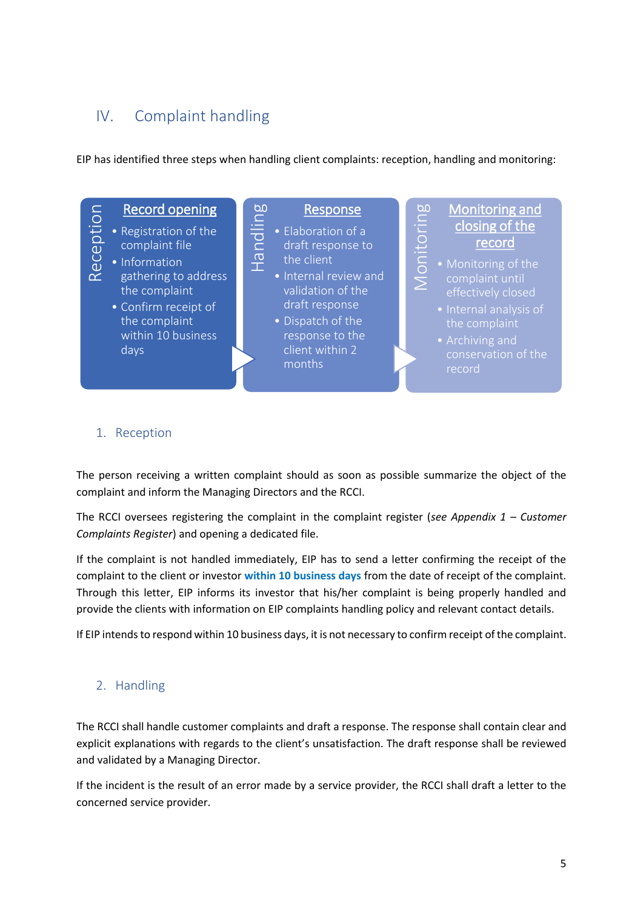### <span id="page-4-0"></span>IV. Complaint handling

EIP has identified three steps when handling client complaints: reception, handling and monitoring:



#### <span id="page-4-1"></span>1. Reception

The person receiving a written complaint should as soon as possible summarize the object of the complaint and inform the Managing Directors and the RCCI.

The RCCI oversees registering the complaint in the complaint register (*see Appendix 1 – Customer Complaints Register*) and opening a dedicated file.

If the complaint is not handled immediately, EIP has to send a letter confirming the receipt of the complaint to the client or investor **within 10 business days** from the date of receipt of the complaint. Through this letter, EIP informs its investor that his/her complaint is being properly handled and provide the clients with information on EIP complaints handling policy and relevant contact details.

If EIP intends to respond within 10 business days, it is not necessary to confirm receipt of the complaint.

#### <span id="page-4-2"></span>2. Handling

The RCCI shall handle customer complaints and draft a response. The response shall contain clear and explicit explanations with regards to the client's unsatisfaction. The draft response shall be reviewed and validated by a Managing Director.

If the incident is the result of an error made by a service provider, the RCCI shall draft a letter to the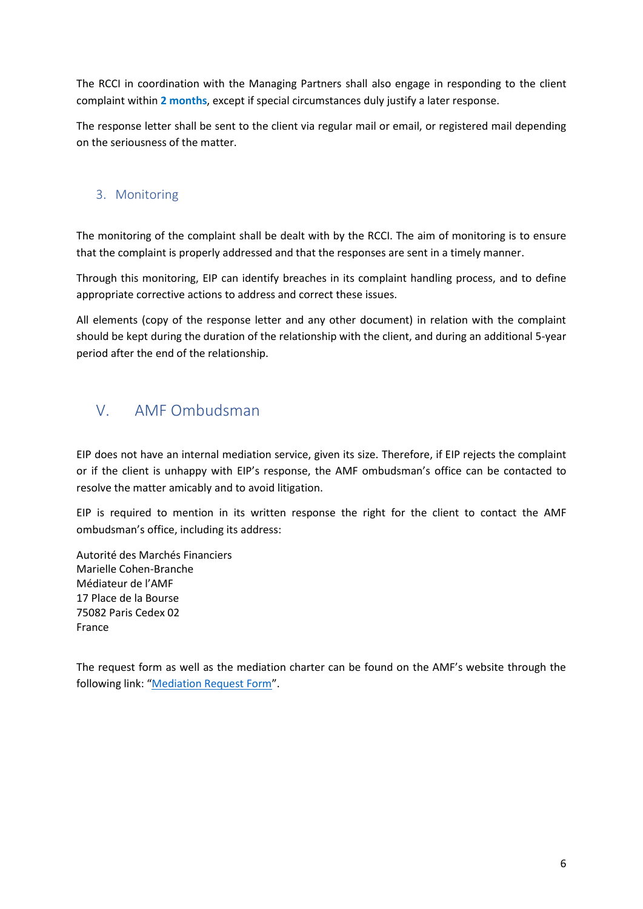The RCCI in coordination with the Managing Partners shall also engage in responding to the client complaint within **2 months**, except if special circumstances duly justify a later response.

The response letter shall be sent to the client via regular mail or email, or registered mail depending on the seriousness of the matter.

#### <span id="page-5-0"></span>3. Monitoring

The monitoring of the complaint shall be dealt with by the RCCI. The aim of monitoring is to ensure that the complaint is properly addressed and that the responses are sent in a timely manner.

Through this monitoring, EIP can identify breaches in its complaint handling process, and to define appropriate corrective actions to address and correct these issues.

All elements (copy of the response letter and any other document) in relation with the complaint should be kept during the duration of the relationship with the client, and during an additional 5-year period after the end of the relationship.

### <span id="page-5-1"></span>V. AMF Ombudsman

EIP does not have an internal mediation service, given its size. Therefore, if EIP rejects the complaint or if the client is unhappy with EIP's response, the AMF ombudsman's office can be contacted to resolve the matter amicably and to avoid litigation.

EIP is required to mention in its written response the right for the client to contact the AMF ombudsman's office, including its address:

Autorité des Marchés Financiers Marielle Cohen-Branche Médiateur de l'AMF 17 Place de la Bourse 75082 Paris Cedex 02 France

The request form as well as the mediation charter can be found on the AMF's website through the following link: "[Mediation Request Form](https://www.amf-france.org/en/amf-ombudsman/mediation-file/request-mediation)".